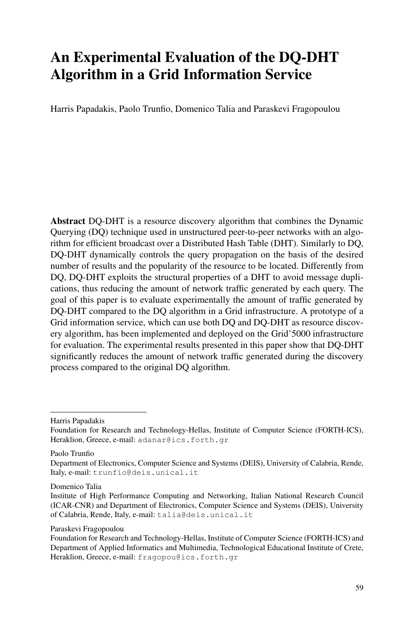# An Experimental Evaluation of the DQ-DHT Algorithm in a Grid Information Service

Harris Papadakis, Paolo Trunfio, Domenico Talia and Paraskevi Fragopoulou

Abstract DQ-DHT is a resource discovery algorithm that combines the Dynamic Querying (DQ) technique used in unstructured peer-to-peer networks with an algorithm for efficient broadcast over a Distributed Hash Table (DHT). Similarly to DQ, DQ-DHT dynamically controls the query propagation on the basis of the desired number of results and the popularity of the resource to be located. Differently from DQ, DQ-DHT exploits the structural properties of a DHT to avoid message duplications, thus reducing the amount of network traffic generated by each query. The goal of this paper is to evaluate experimentally the amount of traffic generated by DQ-DHT compared to the DQ algorithm in a Grid infrastructure. A prototype of a Grid information service, which can use both DQ and DQ-DHT as resource discovery algorithm, has been implemented and deployed on the Grid'5000 infrastructure for evaluation. The experimental results presented in this paper show that DQ-DHT significantly reduces the amount of network traffic generated during the discovery process compared to the original DQ algorithm.

Harris Papadakis

Paolo Trunfio

Domenico Talia

Foundation for Research and Technology-Hellas, Institute of Computer Science (FORTH-ICS), Heraklion, Greece, e-mail: adanar@ics.forth.gr

Department of Electronics, Computer Science and Systems (DEIS), University of Calabria, Rende, Italy, e-mail: trunfio@deis.unical.it

Institute of High Performance Computing and Networking, Italian National Research Council (ICAR-CNR) and Department of Electronics, Computer Science and Systems (DEIS), University of Calabria, Rende, Italy, e-mail: talia@deis.unical.it

Paraskevi Fragopoulou

Foundation for Research and Technology-Hellas, Institute of Computer Science (FORTH-ICS) and Department of Applied Informatics and Multimedia, Technological Educational Institute of Crete, Heraklion, Greece, e-mail: fragopou@ics.forth.gr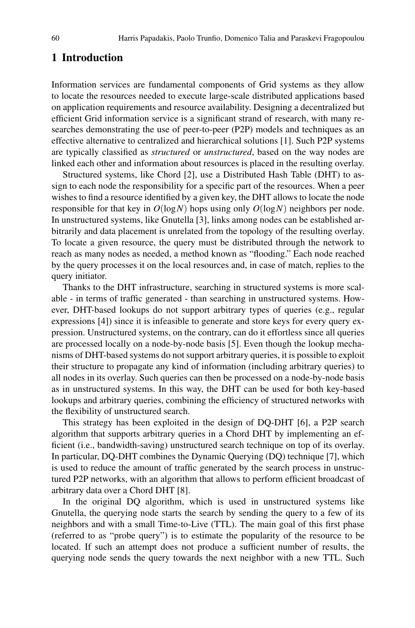## 1 Introduction

Information services are fundamental components of Grid systems as they allow to locate the resources needed to execute large-scale distributed applications based on application requirements and resource availability. Designing a decentralized but efficient Grid information service is a significant strand of research, with many researches demonstrating the use of peer-to-peer (P2P) models and techniques as an effective alternative to centralized and hierarchical solutions [1]. Such P2P systems are typically classified as *structured* or *unstructured*, based on the way nodes are linked each other and information about resources is placed in the resulting overlay.

Structured systems, like Chord [2], use a Distributed Hash Table (DHT) to assign to each node the responsibility for a specific part of the resources. When a peer wishes to find a resource identified by a given key, the DHT allows to locate the node responsible for that key in  $O(log N)$  hops using only  $O(log N)$  neighbors per node. In unstructured systems, like Gnutella [3], links among nodes can be established arbitrarily and data placement is unrelated from the topology of the resulting overlay. To locate a given resource, the query must be distributed through the network to reach as many nodes as needed, a method known as "flooding." Each node reached by the query processes it on the local resources and, in case of match, replies to the query initiator.

Thanks to the DHT infrastructure, searching in structured systems is more scalable - in terms of traffic generated - than searching in unstructured systems. However, DHT-based lookups do not support arbitrary types of queries (e.g., regular expressions [4]) since it is infeasible to generate and store keys for every query expression. Unstructured systems, on the contrary, can do it effortless since all queries are processed locally on a node-by-node basis [5]. Even though the lookup mechanisms of DHT-based systems do not support arbitrary queries, it is possible to exploit their structure to propagate any kind of information (including arbitrary queries) to all nodes in its overlay. Such queries can then be processed on a node-by-node basis as in unstructured systems. In this way, the DHT can be used for both key-based lookups and arbitrary queries, combining the efficiency of structured networks with the flexibility of unstructured search.

This strategy has been exploited in the design of DQ-DHT [6], a P2P search algorithm that supports arbitrary queries in a Chord DHT by implementing an efficient (i.e., bandwidth-saving) unstructured search technique on top of its overlay. In particular, DQ-DHT combines the Dynamic Querying (DQ) technique [7], which is used to reduce the amount of traffic generated by the search process in unstructured P2P networks, with an algorithm that allows to perform efficient broadcast of arbitrary data over a Chord DHT [8].

In the original DQ algorithm, which is used in unstructured systems like Gnutella, the querying node starts the search by sending the query to a few of its neighbors and with a small Time-to-Live (TTL). The main goal of this first phase (referred to as "probe query") is to estimate the popularity of the resource to be located. If such an attempt does not produce a sufficient number of results, the querying node sends the query towards the next neighbor with a new TTL. Such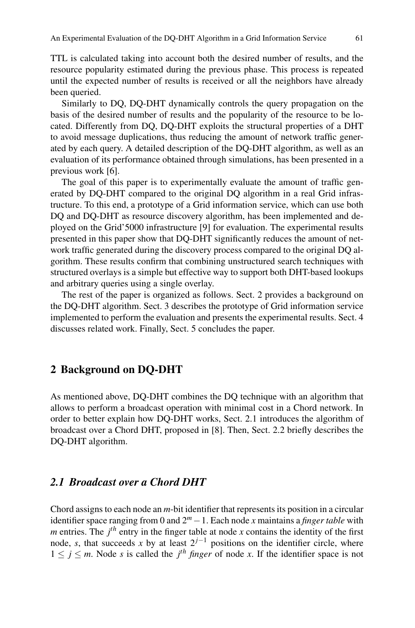TTL is calculated taking into account both the desired number of results, and the resource popularity estimated during the previous phase. This process is repeated until the expected number of results is received or all the neighbors have already been queried.

Similarly to DQ, DQ-DHT dynamically controls the query propagation on the basis of the desired number of results and the popularity of the resource to be located. Differently from DQ, DQ-DHT exploits the structural properties of a DHT to avoid message duplications, thus reducing the amount of network traffic generated by each query. A detailed description of the DQ-DHT algorithm, as well as an evaluation of its performance obtained through simulations, has been presented in a previous work [6].

The goal of this paper is to experimentally evaluate the amount of traffic generated by DQ-DHT compared to the original DQ algorithm in a real Grid infrastructure. To this end, a prototype of a Grid information service, which can use both DQ and DQ-DHT as resource discovery algorithm, has been implemented and deployed on the Grid'5000 infrastructure [9] for evaluation. The experimental results presented in this paper show that DQ-DHT significantly reduces the amount of network traffic generated during the discovery process compared to the original DQ algorithm. These results confirm that combining unstructured search techniques with structured overlays is a simple but effective way to support both DHT-based lookups and arbitrary queries using a single overlay.

The rest of the paper is organized as follows. Sect. 2 provides a background on the DQ-DHT algorithm. Sect. 3 describes the prototype of Grid information service implemented to perform the evaluation and presents the experimental results. Sect. 4 discusses related work. Finally, Sect. 5 concludes the paper.

## 2 Background on DQ-DHT

As mentioned above, DQ-DHT combines the DQ technique with an algorithm that allows to perform a broadcast operation with minimal cost in a Chord network. In order to better explain how DQ-DHT works, Sect. 2.1 introduces the algorithm of broadcast over a Chord DHT, proposed in [8]. Then, Sect. 2.2 briefly describes the DQ-DHT algorithm.

#### *2.1 Broadcast over a Chord DHT*

Chord assigns to each node an *m*-bit identifier that represents its position in a circular identifier space ranging from 0 and 2*m*−1. Each node *x* maintains a *finger table* with *m* entries. The  $j<sup>th</sup>$  entry in the finger table at node *x* contains the identity of the first node, *s*, that succeeds *x* by at least  $2^{j-1}$  positions on the identifier circle, where  $1 \leq j \leq m$ . Node *s* is called the *j*<sup>th</sup> *finger* of node *x*. If the identifier space is not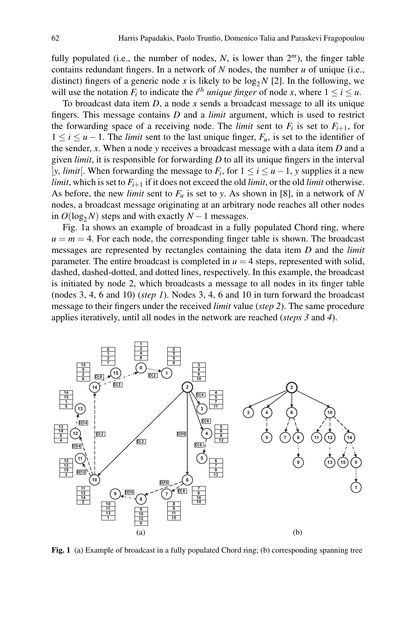fully populated (i.e., the number of nodes,  $N$ , is lower than  $2<sup>m</sup>$ ), the finger table contains redundant fingers. In a network of *N* nodes, the number *u* of unique (i.e., distinct) fingers of a generic node x is likely to be  $log_2 N$  [2]. In the following, we will use the notation  $F_i$  to indicate the *i*<sup>th</sup> *unique finger* of node *x*, where  $1 \le i \le u$ .

To broadcast data item *D*, a node *x* sends a broadcast message to all its unique fingers. This message contains *D* and a *limit* argument, which is used to restrict the forwarding space of a receiving node. The *limit* sent to  $F_i$  is set to  $F_{i+1}$ , for  $1 \le i \le u - 1$ . The *limit* sent to the last unique finger,  $F_u$ , is set to the identifier of the sender, *x*. When a node *y* receives a broadcast message with a data item *D* and a given *limit*, it is responsible for forwarding *D* to all its unique fingers in the interval *|y, limit*]. When forwarding the message to  $F_i$ , for  $1 \le i \le u-1$ , *y* supplies it a new *limit*, which is set to  $F_{i+1}$  if it does not exceed the old *limit*, or the old *limit* otherwise. As before, the new *limit* sent to  $F_u$  is set to *y*. As shown in [8], in a network of *N* nodes, a broadcast message originating at an arbitrary node reaches all other nodes in  $O(\log_2 N)$  steps and with exactly  $N-1$  messages.

Fig. 1a shows an example of broadcast in a fully populated Chord ring, where  $u = m = 4$ . For each node, the corresponding finger table is shown. The broadcast messages are represented by rectangles containing the data item *D* and the *limit* parameter. The entire broadcast is completed in  $u = 4$  steps, represented with solid, dashed, dashed-dotted, and dotted lines, respectively. In this example, the broadcast is initiated by node 2, which broadcasts a message to all nodes in its finger table (nodes 3, 4, 6 and 10) (*step 1*). Nodes 3, 4, 6 and 10 in turn forward the broadcast message to their fingers under the received *limit* value (*step 2*). The same procedure applies iteratively, until all nodes in the network are reached (*steps 3* and *4*).



Fig. 1 (a) Example of broadcast in a fully populated Chord ring; (b) corresponding spanning tree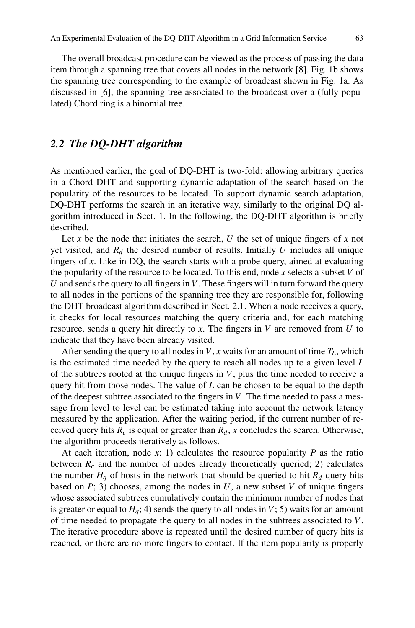The overall broadcast procedure can be viewed as the process of passing the data item through a spanning tree that covers all nodes in the network [8]. Fig. 1b shows the spanning tree corresponding to the example of broadcast shown in Fig. 1a. As discussed in [6], the spanning tree associated to the broadcast over a (fully populated) Chord ring is a binomial tree.

## *2.2 The DQ-DHT algorithm*

As mentioned earlier, the goal of DQ-DHT is two-fold: allowing arbitrary queries in a Chord DHT and supporting dynamic adaptation of the search based on the popularity of the resources to be located. To support dynamic search adaptation, DQ-DHT performs the search in an iterative way, similarly to the original DQ algorithm introduced in Sect. 1. In the following, the DQ-DHT algorithm is briefly described.

Let  $x$  be the node that initiates the search,  $U$  the set of unique fingers of  $x$  not yet visited, and  $R_d$  the desired number of results. Initially  $U$  includes all unique fingers of *x*. Like in DQ, the search starts with a probe query, aimed at evaluating the popularity of the resource to be located. To this end, node *x* selects a subset *V* of *U* and sends the query to all fingers in*V*. These fingers will in turn forward the query to all nodes in the portions of the spanning tree they are responsible for, following the DHT broadcast algorithm described in Sect. 2.1. When a node receives a query, it checks for local resources matching the query criteria and, for each matching resource, sends a query hit directly to *x*. The fingers in *V* are removed from *U* to indicate that they have been already visited.

After sending the query to all nodes in  $V$ ,  $x$  waits for an amount of time  $T_L$ , which is the estimated time needed by the query to reach all nodes up to a given level *L* of the subtrees rooted at the unique fingers in *V*, plus the time needed to receive a query hit from those nodes. The value of *L* can be chosen to be equal to the depth of the deepest subtree associated to the fingers in *V*. The time needed to pass a message from level to level can be estimated taking into account the network latency measured by the application. After the waiting period, if the current number of received query hits  $R_c$  is equal or greater than  $R_d$ , *x* concludes the search. Otherwise, the algorithm proceeds iteratively as follows.

At each iteration, node  $x$ : 1) calculates the resource popularity  $P$  as the ratio between  $R_c$  and the number of nodes already theoretically queried; 2) calculates the number  $H_a$  of hosts in the network that should be queried to hit  $R_d$  query hits based on  $P$ ; 3) chooses, among the nodes in  $U$ , a new subset  $V$  of unique fingers whose associated subtrees cumulatively contain the minimum number of nodes that is greater or equal to  $H_a$ ; 4) sends the query to all nodes in *V*; 5) waits for an amount of time needed to propagate the query to all nodes in the subtrees associated to *V*. The iterative procedure above is repeated until the desired number of query hits is reached, or there are no more fingers to contact. If the item popularity is properly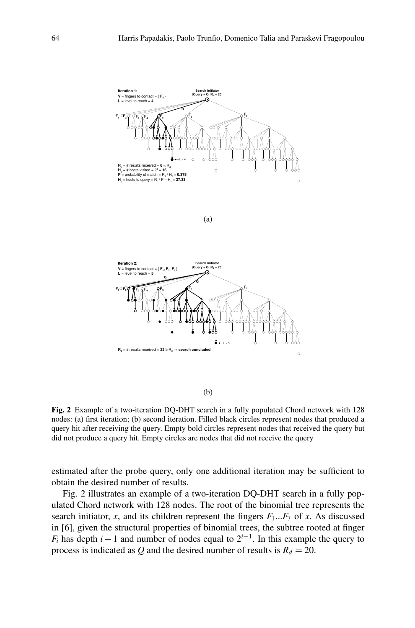

(b)

Fig. 2 Example of a two-iteration DQ-DHT search in a fully populated Chord network with 128 nodes: (a) first iteration; (b) second iteration. Filled black circles represent nodes that produced a query hit after receiving the query. Empty bold circles represent nodes that received the query but did not produce a query hit. Empty circles are nodes that did not receive the query

estimated after the probe query, only one additional iteration may be sufficient to obtain the desired number of results.

Fig. 2 illustrates an example of a two-iteration DQ-DHT search in a fully populated Chord network with 128 nodes. The root of the binomial tree represents the search initiator, *x*, and its children represent the fingers  $F_1...F_7$  of *x*. As discussed in [6], given the structural properties of binomial trees, the subtree rooted at finger *F<sub>i</sub>* has depth *i* − 1 and number of nodes equal to  $2^{i-1}$ . In this example the query to process is indicated as *Q* and the desired number of results is  $R_d = 20$ .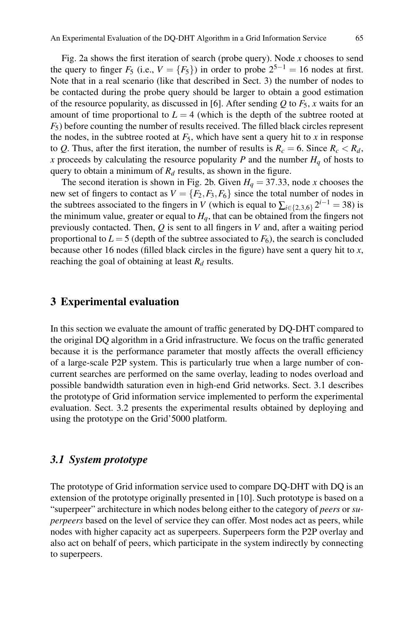Fig. 2a shows the first iteration of search (probe query). Node *x* chooses to send the query to finger  $F_5$  (i.e.,  $V = \{F_5\}$ ) in order to probe  $2^{5-1} = 16$  nodes at first. Note that in a real scenario (like that described in Sect. 3) the number of nodes to be contacted during the probe query should be larger to obtain a good estimation of the resource popularity, as discussed in [6]. After sending  $Q$  to  $F_5$ ,  $x$  waits for an amount of time proportional to  $L = 4$  (which is the depth of the subtree rooted at *F*5) before counting the number of results received. The filled black circles represent the nodes, in the subtree rooted at  $F_5$ , which have sent a query hit to *x* in response to *Q*. Thus, after the first iteration, the number of results is  $R_c = 6$ . Since  $R_c < R_d$ , *x* proceeds by calculating the resource popularity *P* and the number  $H<sub>a</sub>$  of hosts to query to obtain a minimum of  $R_d$  results, as shown in the figure.

The second iteration is shown in Fig. 2b. Given  $H<sub>q</sub> = 37.33$ , node *x* chooses the new set of fingers to contact as  $V = \{F_2, F_3, F_6\}$  since the total number of nodes in the subtrees associated to the fingers in *V* (which is equal to  $\sum_{i \in \{2,3,6\}} 2^{i-1} = 38$ ) is the minimum value, greater or equal to  $H_a$ , that can be obtained from the fingers not previously contacted. Then, *Q* is sent to all fingers in *V* and, after a waiting period proportional to  $L = 5$  (depth of the subtree associated to  $F_6$ ), the search is concluded because other 16 nodes (filled black circles in the figure) have sent a query hit to *x*, reaching the goal of obtaining at least  $R_d$  results.

#### 3 Experimental evaluation

In this section we evaluate the amount of traffic generated by DQ-DHT compared to the original DQ algorithm in a Grid infrastructure. We focus on the traffic generated because it is the performance parameter that mostly affects the overall efficiency of a large-scale P2P system. This is particularly true when a large number of concurrent searches are performed on the same overlay, leading to nodes overload and possible bandwidth saturation even in high-end Grid networks. Sect. 3.1 describes the prototype of Grid information service implemented to perform the experimental evaluation. Sect. 3.2 presents the experimental results obtained by deploying and using the prototype on the Grid'5000 platform.

#### *3.1 System prototype*

The prototype of Grid information service used to compare DQ-DHT with DQ is an extension of the prototype originally presented in [10]. Such prototype is based on a "superpeer" architecture in which nodes belong either to the category of *peers* or *superpeers* based on the level of service they can offer. Most nodes act as peers, while nodes with higher capacity act as superpeers. Superpeers form the P2P overlay and also act on behalf of peers, which participate in the system indirectly by connecting to superpeers.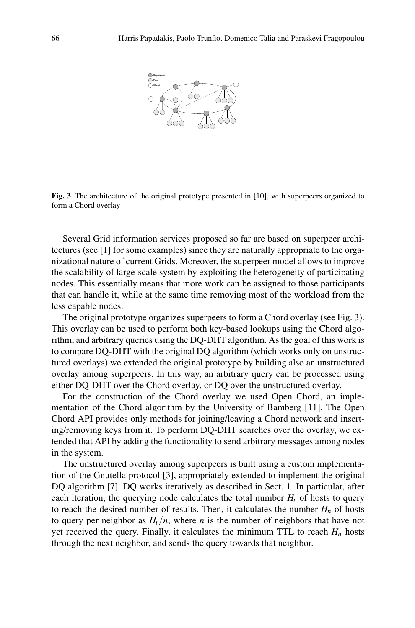

Fig. 3 The architecture of the original prototype presented in [10], with superpeers organized to form a Chord overlay

Several Grid information services proposed so far are based on superpeer architectures (see [1] for some examples) since they are naturally appropriate to the organizational nature of current Grids. Moreover, the superpeer model allows to improve the scalability of large-scale system by exploiting the heterogeneity of participating nodes. This essentially means that more work can be assigned to those participants that can handle it, while at the same time removing most of the workload from the less capable nodes.

The original prototype organizes superpeers to form a Chord overlay (see Fig. 3). This overlay can be used to perform both key-based lookups using the Chord algorithm, and arbitrary queries using the DQ-DHT algorithm. As the goal of this work is to compare DQ-DHT with the original DQ algorithm (which works only on unstructured overlays) we extended the original prototype by building also an unstructured overlay among superpeers. In this way, an arbitrary query can be processed using either DQ-DHT over the Chord overlay, or DQ over the unstructured overlay.

For the construction of the Chord overlay we used Open Chord, an implementation of the Chord algorithm by the University of Bamberg [11]. The Open Chord API provides only methods for joining/leaving a Chord network and inserting/removing keys from it. To perform DQ-DHT searches over the overlay, we extended that API by adding the functionality to send arbitrary messages among nodes in the system.

The unstructured overlay among superpeers is built using a custom implementation of the Gnutella protocol [3], appropriately extended to implement the original DQ algorithm [7]. DQ works iteratively as described in Sect. 1. In particular, after each iteration, the querying node calculates the total number  $H_t$  of hosts to query to reach the desired number of results. Then, it calculates the number  $H_n$  of hosts to query per neighbor as  $H_t/n$ , where *n* is the number of neighbors that have not yet received the query. Finally, it calculates the minimum TTL to reach  $H_n$  hosts through the next neighbor, and sends the query towards that neighbor.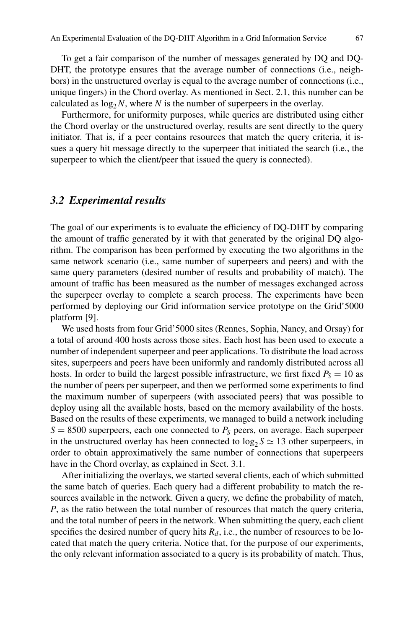To get a fair comparison of the number of messages generated by DQ and DQ-DHT, the prototype ensures that the average number of connections (i.e., neighbors) in the unstructured overlay is equal to the average number of connections (i.e., unique fingers) in the Chord overlay. As mentioned in Sect. 2.1, this number can be calculated as  $\log_2 N$ , where *N* is the number of superpeers in the overlay.

Furthermore, for uniformity purposes, while queries are distributed using either the Chord overlay or the unstructured overlay, results are sent directly to the query initiator. That is, if a peer contains resources that match the query criteria, it issues a query hit message directly to the superpeer that initiated the search (i.e., the superpeer to which the client/peer that issued the query is connected).

#### *3.2 Experimental results*

The goal of our experiments is to evaluate the efficiency of DQ-DHT by comparing the amount of traffic generated by it with that generated by the original DQ algorithm. The comparison has been performed by executing the two algorithms in the same network scenario (i.e., same number of superpeers and peers) and with the same query parameters (desired number of results and probability of match). The amount of traffic has been measured as the number of messages exchanged across the superpeer overlay to complete a search process. The experiments have been performed by deploying our Grid information service prototype on the Grid'5000 platform [9].

We used hosts from four Grid'5000 sites (Rennes, Sophia, Nancy, and Orsay) for a total of around 400 hosts across those sites. Each host has been used to execute a number of independent superpeer and peer applications. To distribute the load across sites, superpeers and peers have been uniformly and randomly distributed across all hosts. In order to build the largest possible infrastructure, we first fixed  $P<sub>S</sub> = 10$  as the number of peers per superpeer, and then we performed some experiments to find the maximum number of superpeers (with associated peers) that was possible to deploy using all the available hosts, based on the memory availability of the hosts. Based on the results of these experiments, we managed to build a network including  $S = 8500$  superpeers, each one connected to  $P_S$  peers, on average. Each superpeer in the unstructured overlay has been connected to  $\log_2 S \simeq 13$  other superpeers, in order to obtain approximatively the same number of connections that superpeers have in the Chord overlay, as explained in Sect. 3.1.

After initializing the overlays, we started several clients, each of which submitted the same batch of queries. Each query had a different probability to match the resources available in the network. Given a query, we define the probability of match, *P*, as the ratio between the total number of resources that match the query criteria, and the total number of peers in the network. When submitting the query, each client specifies the desired number of query hits  $R_d$ , i.e., the number of resources to be located that match the query criteria. Notice that, for the purpose of our experiments, the only relevant information associated to a query is its probability of match. Thus,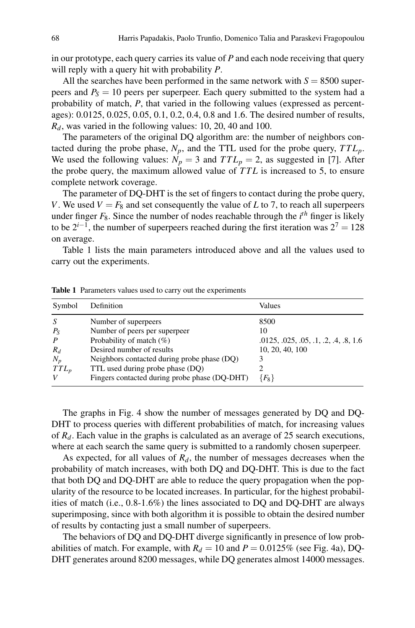in our prototype, each query carries its value of *P* and each node receiving that query will reply with a query hit with probability *P*.

All the searches have been performed in the same network with  $S = 8500$  superpeers and  $P<sub>S</sub> = 10$  peers per superpeer. Each query submitted to the system had a probability of match, *P*, that varied in the following values (expressed as percentages): 0.0125, 0.025, 0.05, 0.1, 0.2, 0.4, 0.8 and 1.6. The desired number of results, *Rd*, was varied in the following values: 10, 20, 40 and 100.

The parameters of the original DQ algorithm are: the number of neighbors contacted during the probe phase,  $N_p$ , and the TTL used for the probe query,  $TTL_p$ . We used the following values:  $N_p = 3$  and  $TTL_p = 2$ , as suggested in [7]. After the probe query, the maximum allowed value of *TTL* is increased to 5, to ensure complete network coverage.

The parameter of DQ-DHT is the set of fingers to contact during the probe query, *V*. We used  $V = F_8$  and set consequently the value of *L* to 7, to reach all superpeers under finger  $F_8$ . Since the number of nodes reachable through the  $i<sup>th</sup>$  finger is likely to be  $2^{i-1}$ , the number of superpeers reached during the first iteration was  $2^7 = 128$ on average.

Table 1 lists the main parameters introduced above and all the values used to carry out the experiments.

| Symbol           | Definition                                    | Values                                |
|------------------|-----------------------------------------------|---------------------------------------|
| S                | Number of superpeers                          | 8500                                  |
| $P_{\rm S}$      | Number of peers per superpeer                 | 10                                    |
| $\boldsymbol{P}$ | Probability of match $(\%)$                   | .0125, .025, .05, .1, .2, .4, .8, 1.6 |
| $R_d$            | Desired number of results                     | 10, 20, 40, 100                       |
| $N_p$            | Neighbors contacted during probe phase (DQ)   |                                       |
| $TTL_p$          | TTL used during probe phase (DQ)              |                                       |
|                  | Fingers contacted during probe phase (DQ-DHT) | $\{F_8\}$                             |

Table 1 Parameters values used to carry out the experiments

The graphs in Fig. 4 show the number of messages generated by DQ and DQ-DHT to process queries with different probabilities of match, for increasing values of *Rd*. Each value in the graphs is calculated as an average of 25 search executions, where at each search the same query is submitted to a randomly chosen superpeer.

As expected, for all values of  $R_d$ , the number of messages decreases when the probability of match increases, with both DQ and DQ-DHT. This is due to the fact that both DQ and DQ-DHT are able to reduce the query propagation when the popularity of the resource to be located increases. In particular, for the highest probabilities of match (i.e., 0.8-1.6%) the lines associated to DQ and DQ-DHT are always superimposing, since with both algorithm it is possible to obtain the desired number of results by contacting just a small number of superpeers.

The behaviors of DQ and DQ-DHT diverge significantly in presence of low probabilities of match. For example, with  $R_d = 10$  and  $P = 0.0125\%$  (see Fig. 4a), DQ-DHT generates around 8200 messages, while DQ generates almost 14000 messages.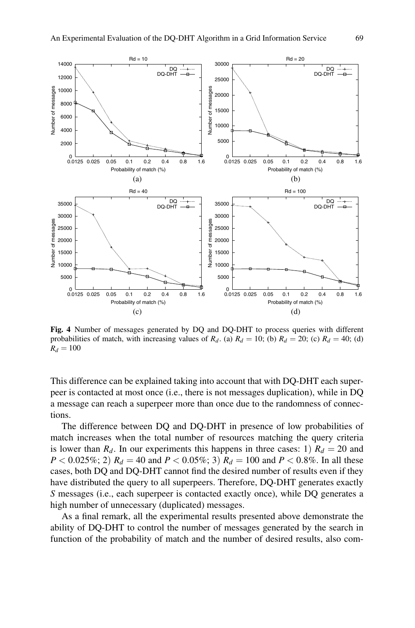

Fig. 4 Number of messages generated by DQ and DQ-DHT to process queries with different probabilities of match, with increasing values of  $R_d$ . (a)  $R_d = 10$ ; (b)  $R_d = 20$ ; (c)  $R_d = 40$ ; (d)  $R_d = 100$ 

This difference can be explained taking into account that with DQ-DHT each superpeer is contacted at most once (i.e., there is not messages duplication), while in DQ a message can reach a superpeer more than once due to the randomness of connections.

The difference between DQ and DQ-DHT in presence of low probabilities of match increases when the total number of resources matching the query criteria is lower than  $R_d$ . In our experiments this happens in three cases: 1)  $R_d = 20$  and  $P < 0.025\%$ ; 2)  $R_d = 40$  and  $P < 0.05\%$ ; 3)  $R_d = 100$  and  $P < 0.8\%$ . In all these cases, both DQ and DQ-DHT cannot find the desired number of results even if they have distributed the query to all superpeers. Therefore, DQ-DHT generates exactly *S* messages (i.e., each superpeer is contacted exactly once), while DQ generates a high number of unnecessary (duplicated) messages.

As a final remark, all the experimental results presented above demonstrate the ability of DQ-DHT to control the number of messages generated by the search in function of the probability of match and the number of desired results, also com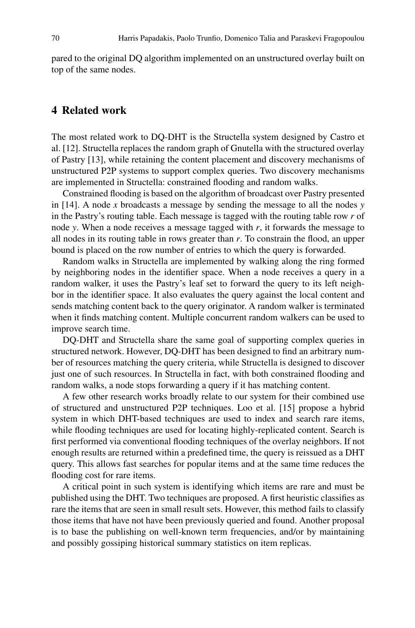pared to the original DQ algorithm implemented on an unstructured overlay built on top of the same nodes.

#### 4 Related work

The most related work to DQ-DHT is the Structella system designed by Castro et al. [12]. Structella replaces the random graph of Gnutella with the structured overlay of Pastry [13], while retaining the content placement and discovery mechanisms of unstructured P2P systems to support complex queries. Two discovery mechanisms are implemented in Structella: constrained flooding and random walks.

Constrained flooding is based on the algorithm of broadcast over Pastry presented in [14]. A node *x* broadcasts a message by sending the message to all the nodes *y* in the Pastry's routing table. Each message is tagged with the routing table row *r* of node *y*. When a node receives a message tagged with *r*, it forwards the message to all nodes in its routing table in rows greater than *r*. To constrain the flood, an upper bound is placed on the row number of entries to which the query is forwarded.

Random walks in Structella are implemented by walking along the ring formed by neighboring nodes in the identifier space. When a node receives a query in a random walker, it uses the Pastry's leaf set to forward the query to its left neighbor in the identifier space. It also evaluates the query against the local content and sends matching content back to the query originator. A random walker is terminated when it finds matching content. Multiple concurrent random walkers can be used to improve search time.

DQ-DHT and Structella share the same goal of supporting complex queries in structured network. However, DQ-DHT has been designed to find an arbitrary number of resources matching the query criteria, while Structella is designed to discover just one of such resources. In Structella in fact, with both constrained flooding and random walks, a node stops forwarding a query if it has matching content.

A few other research works broadly relate to our system for their combined use of structured and unstructured P2P techniques. Loo et al. [15] propose a hybrid system in which DHT-based techniques are used to index and search rare items, while flooding techniques are used for locating highly-replicated content. Search is first performed via conventional flooding techniques of the overlay neighbors. If not enough results are returned within a predefined time, the query is reissued as a DHT query. This allows fast searches for popular items and at the same time reduces the flooding cost for rare items.

A critical point in such system is identifying which items are rare and must be published using the DHT. Two techniques are proposed. A first heuristic classifies as rare the items that are seen in small result sets. However, this method fails to classify those items that have not have been previously queried and found. Another proposal is to base the publishing on well-known term frequencies, and/or by maintaining and possibly gossiping historical summary statistics on item replicas.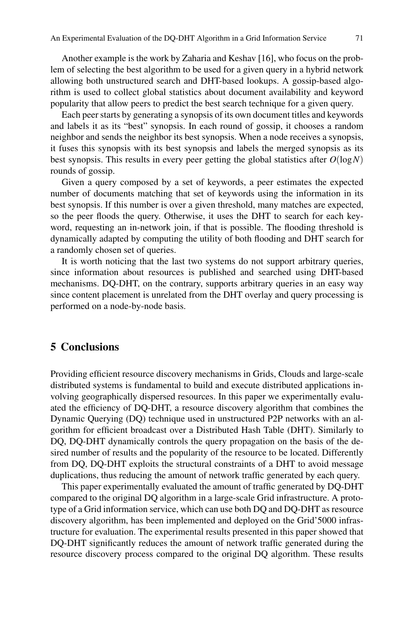Another example is the work by Zaharia and Keshav [16], who focus on the problem of selecting the best algorithm to be used for a given query in a hybrid network allowing both unstructured search and DHT-based lookups. A gossip-based algorithm is used to collect global statistics about document availability and keyword popularity that allow peers to predict the best search technique for a given query.

Each peer starts by generating a synopsis of its own document titles and keywords and labels it as its "best" synopsis. In each round of gossip, it chooses a random neighbor and sends the neighbor its best synopsis. When a node receives a synopsis, it fuses this synopsis with its best synopsis and labels the merged synopsis as its best synopsis. This results in every peer getting the global statistics after  $O(\log N)$ rounds of gossip.

Given a query composed by a set of keywords, a peer estimates the expected number of documents matching that set of keywords using the information in its best synopsis. If this number is over a given threshold, many matches are expected, so the peer floods the query. Otherwise, it uses the DHT to search for each keyword, requesting an in-network join, if that is possible. The flooding threshold is dynamically adapted by computing the utility of both flooding and DHT search for a randomly chosen set of queries.

It is worth noticing that the last two systems do not support arbitrary queries, since information about resources is published and searched using DHT-based mechanisms. DQ-DHT, on the contrary, supports arbitrary queries in an easy way since content placement is unrelated from the DHT overlay and query processing is performed on a node-by-node basis.

## 5 Conclusions

Providing efficient resource discovery mechanisms in Grids, Clouds and large-scale distributed systems is fundamental to build and execute distributed applications involving geographically dispersed resources. In this paper we experimentally evaluated the efficiency of DQ-DHT, a resource discovery algorithm that combines the Dynamic Querying (DQ) technique used in unstructured P2P networks with an algorithm for efficient broadcast over a Distributed Hash Table (DHT). Similarly to DQ, DQ-DHT dynamically controls the query propagation on the basis of the desired number of results and the popularity of the resource to be located. Differently from DQ, DQ-DHT exploits the structural constraints of a DHT to avoid message duplications, thus reducing the amount of network traffic generated by each query.

This paper experimentally evaluated the amount of traffic generated by DQ-DHT compared to the original DQ algorithm in a large-scale Grid infrastructure. A prototype of a Grid information service, which can use both DQ and DQ-DHT as resource discovery algorithm, has been implemented and deployed on the Grid'5000 infrastructure for evaluation. The experimental results presented in this paper showed that DQ-DHT significantly reduces the amount of network traffic generated during the resource discovery process compared to the original DQ algorithm. These results